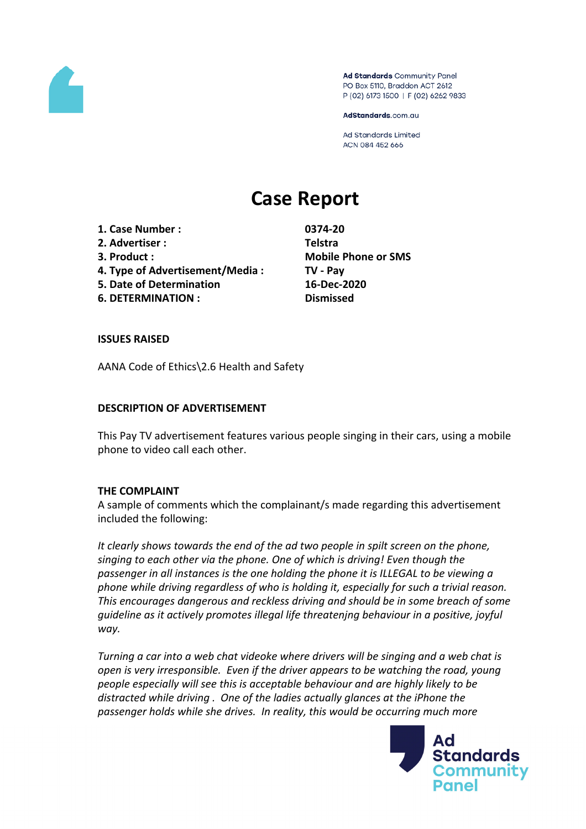

Ad Standards Community Panel PO Box 5110, Braddon ACT 2612 P (02) 6173 1500 | F (02) 6262 9833

AdStandards.com.au

**Ad Standards Limited** ACN 084 452 666

# **Case Report**

**1. Case Number : 0374-20 2. Advertiser : Telstra**

- 
- **4. Type of Advertisement/Media : TV - Pay**
- **5. Date of Determination 16-Dec-2020**
- **6. DETERMINATION : Dismissed**

**3. Product : Mobile Phone or SMS**

#### **ISSUES RAISED**

AANA Code of Ethics\2.6 Health and Safety

#### **DESCRIPTION OF ADVERTISEMENT**

This Pay TV advertisement features various people singing in their cars, using a mobile phone to video call each other.

#### **THE COMPLAINT**

A sample of comments which the complainant/s made regarding this advertisement included the following:

*It clearly shows towards the end of the ad two people in spilt screen on the phone, singing to each other via the phone. One of which is driving! Even though the passenger in all instances is the one holding the phone it is ILLEGAL to be viewing a phone while driving regardless of who is holding it, especially for such a trivial reason. This encourages dangerous and reckless driving and should be in some breach of some guideline as it actively promotes illegal life threatenjng behaviour in a positive, joyful way.*

*Turning a car into a web chat videoke where drivers will be singing and a web chat is open is very irresponsible. Even if the driver appears to be watching the road, young people especially will see this is acceptable behaviour and are highly likely to be distracted while driving . One of the ladies actually glances at the iPhone the passenger holds while she drives. In reality, this would be occurring much more*

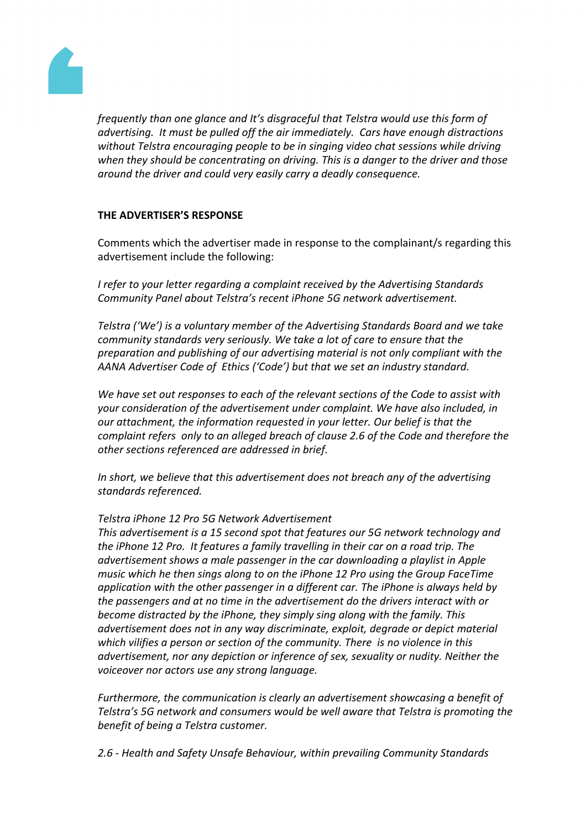

*frequently than one glance and It's disgraceful that Telstra would use this form of advertising. It must be pulled off the air immediately. Cars have enough distractions without Telstra encouraging people to be in singing video chat sessions while driving when they should be concentrating on driving. This is a danger to the driver and those around the driver and could very easily carry a deadly consequence.*

### **THE ADVERTISER'S RESPONSE**

Comments which the advertiser made in response to the complainant/s regarding this advertisement include the following:

*I refer to your letter regarding a complaint received by the Advertising Standards Community Panel about Telstra's recent iPhone 5G network advertisement.*

*Telstra ('We') is a voluntary member of the Advertising Standards Board and we take community standards very seriously. We take a lot of care to ensure that the preparation and publishing of our advertising material is not only compliant with the AANA Advertiser Code of Ethics ('Code') but that we set an industry standard.*

*We have set out responses to each of the relevant sections of the Code to assist with your consideration of the advertisement under complaint. We have also included, in our attachment, the information requested in your letter. Our belief is that the complaint refers only to an alleged breach of clause 2.6 of the Code and therefore the other sections referenced are addressed in brief.*

*In short, we believe that this advertisement does not breach any of the advertising standards referenced.*

#### *Telstra iPhone 12 Pro 5G Network Advertisement*

*This advertisement is a 15 second spot that features our 5G network technology and the iPhone 12 Pro. It features a family travelling in their car on a road trip. The advertisement shows a male passenger in the car downloading a playlist in Apple music which he then sings along to on the iPhone 12 Pro using the Group FaceTime application with the other passenger in a different car. The iPhone is always held by the passengers and at no time in the advertisement do the drivers interact with or become distracted by the iPhone, they simply sing along with the family. This advertisement does not in any way discriminate, exploit, degrade or depict material which vilifies a person or section of the community. There is no violence in this advertisement, nor any depiction or inference of sex, sexuality or nudity. Neither the voiceover nor actors use any strong language.*

*Furthermore, the communication is clearly an advertisement showcasing a benefit of Telstra's 5G network and consumers would be well aware that Telstra is promoting the benefit of being a Telstra customer.*

*2.6 - Health and Safety Unsafe Behaviour, within prevailing Community Standards*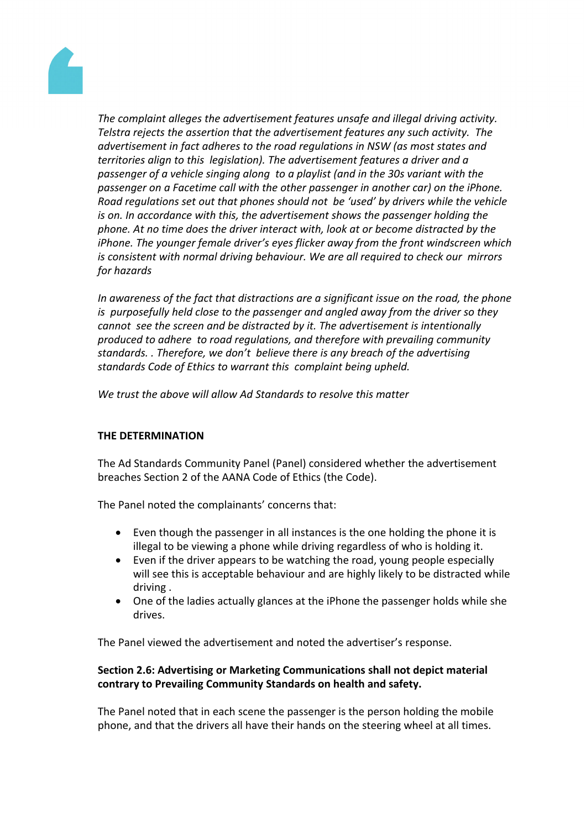

*The complaint alleges the advertisement features unsafe and illegal driving activity. Telstra rejects the assertion that the advertisement features any such activity. The advertisement in fact adheres to the road regulations in NSW (as most states and territories align to this legislation). The advertisement features a driver and a passenger of a vehicle singing along to a playlist (and in the 30s variant with the passenger on a Facetime call with the other passenger in another car) on the iPhone. Road regulations set out that phones should not be 'used' by drivers while the vehicle is on. In accordance with this, the advertisement shows the passenger holding the phone. At no time does the driver interact with, look at or become distracted by the iPhone. The younger female driver's eyes flicker away from the front windscreen which is consistent with normal driving behaviour. We are all required to check our mirrors for hazards* 

*In awareness of the fact that distractions are a significant issue on the road, the phone is purposefully held close to the passenger and angled away from the driver so they cannot see the screen and be distracted by it. The advertisement is intentionally produced to adhere to road regulations, and therefore with prevailing community standards. . Therefore, we don't believe there is any breach of the advertising standards Code of Ethics to warrant this complaint being upheld.* 

*We trust the above will allow Ad Standards to resolve this matter*

## **THE DETERMINATION**

The Ad Standards Community Panel (Panel) considered whether the advertisement breaches Section 2 of the AANA Code of Ethics (the Code).

The Panel noted the complainants' concerns that:

- Even though the passenger in all instances is the one holding the phone it is illegal to be viewing a phone while driving regardless of who is holding it.
- Even if the driver appears to be watching the road, young people especially will see this is acceptable behaviour and are highly likely to be distracted while driving .
- One of the ladies actually glances at the iPhone the passenger holds while she drives.

The Panel viewed the advertisement and noted the advertiser's response.

## **Section 2.6: Advertising or Marketing Communications shall not depict material contrary to Prevailing Community Standards on health and safety.**

The Panel noted that in each scene the passenger is the person holding the mobile phone, and that the drivers all have their hands on the steering wheel at all times.